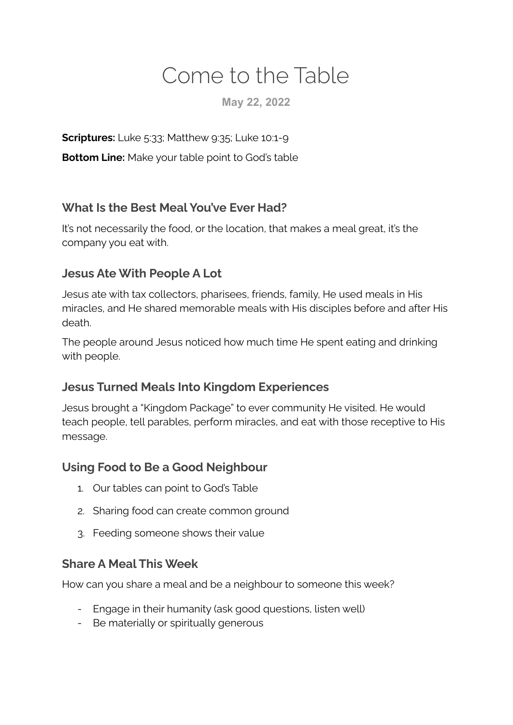# Come to the Table

**May 22, 2022**

**Scriptures:** Luke 5:33; Matthew 9:35; Luke 10:1-9

**Bottom Line:** Make your table point to God's table

#### **What Is the Best Meal You've Ever Had?**

It's not necessarily the food, or the location, that makes a meal great, it's the company you eat with.

#### **Jesus Ate With People A Lot**

Jesus ate with tax collectors, pharisees, friends, family, He used meals in His miracles, and He shared memorable meals with His disciples before and after His death.

The people around Jesus noticed how much time He spent eating and drinking with people.

#### **Jesus Turned Meals Into Kingdom Experiences**

Jesus brought a "Kingdom Package" to ever community He visited. He would teach people, tell parables, perform miracles, and eat with those receptive to His message.

#### **Using Food to Be a Good Neighbour**

- 1. Our tables can point to God's Table
- 2. Sharing food can create common ground
- 3. Feeding someone shows their value

#### **Share A Meal This Week**

How can you share a meal and be a neighbour to someone this week?

- Engage in their humanity (ask good questions, listen well)
- Be materially or spiritually generous